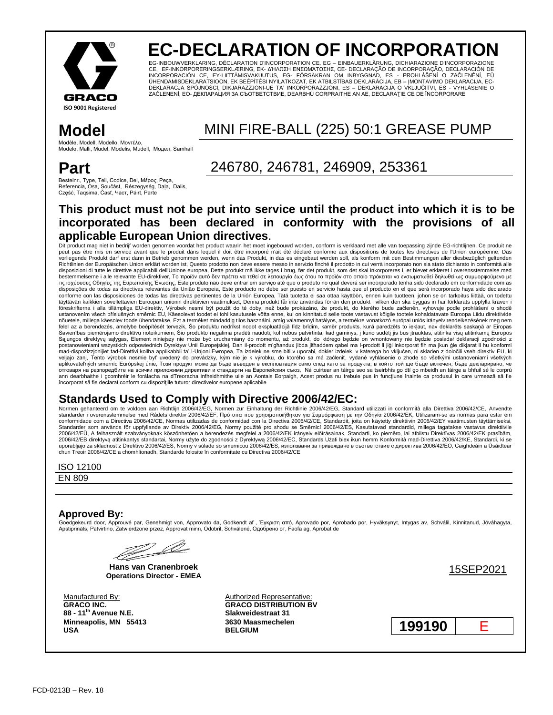

# **EC-DECLARATION OF INCORPORATION**

EG-INBOUWVERKLARING, DÉCLARATION D'INCORPORATION CE, EG – EINBAUERKLÄRUNG, DICHIARAZIONE D'INCORPORAZIONE CE, EF-INKORPORERINGSERKLÆRING, ΕΚ- ΔΉΛΩΣΗ ΕΝΣΩΜΆΤΩΣΗΣ, CE- DECLARAÇÃO DE INCORPORAÇÃO, DECLARACIÓN DE INCORPORACIÓN CE, EY-LIITTÄMISVAKUUTUS, EG- FÖRSÄKRAN OM INBYGGNAD, ES - PROHLÁŠENÍ O ZAČLENĚNÍ, EÜ ÜHENDAMISDEKLARATSIOON, EK BEÉPÍTÉSI NYILATKOZAT, EK ATBILSTĪBAS DEKLARĀCIJA, EB – ĮMONTAVIMO DEKLARACIJA, EC-DEKLARACJA SPÓJNOŚCI, DIKJARAZZJONI-UE TA' INKORPORAZZJONI, ES – DEKLARACIJA O VKLJUČITVI, ES - VYHLÁSENIE O<br>ZAČLENENÍ, EO- ДЕКЛАРАЦИЯ ЗА СЪОТВЕТСТВИЕ, DEARBHÚ CORPRAITHE AN AE, DECLARAȚIE CE DE ÎNCORPORARE

Modèle, Modell, Modello, Μονηέλο, Modelo, Malli, Mudel, Modelis, Mudell, Модел, Samhail

## **Part**

Bestelnr., Type, Teil, Codice, Del, Μέρος, Peça, Referencia, Osa, Součást, Részegység, Daļa, Dalis, Część, Taqsima, Časť, Част, Páirt, Parte

## **Model** MINI FIRE-BALL (225) 50:1 GREASE PUMP

## 246780, 246781, 246909, 253361

### **This product must not be put into service until the product into which it is to be incorporated has been declared in conformity with the provisions of all applicable European Union directives**.

Dit product mag niet in bedrijf worden genomen voordat het product waarin het moet ingebouwd worden, conform is verklaard met alle van toepassing zijnde EG-richtlijnen, Ce produit ne peut pas être mis en service avant que le produit dans lequel il doit être incorporé n'ait été déclaré conforme aux dispositions de toutes les directives de l'Union européenne, Das vorliegende Produkt darf erst dann in Betrieb genommen werden, wenn das Produkt, in das es eingebaut werden soll, als konform mit den Bestimmungen aller diesbezüglich geltenden<br>Richtlinien der Europäischen Union erklärt wo disposizioni di tutte le direttive applicabili dell'Unione europea, Dette produkt må ikke tages i brug, før det produkt, som det skal inkorporeres i, er blevet erklæret i overensstemmelse med bestemmelserne i alle relevante EU-direktiver, Το προϊόν αυτό δεν πρέπει να τεθεί σε λειτουργία έως ότου το προϊόν στο οποίο πρόκειται να ενσωματωθεί δηλωθεί ως συμμορφούμενο με τις ισχύουσες Οδηγίες της Ευρωπαϊκής Ένωσης, Este produto não deve entrar em serviço até que o produto no qual deverá ser incorporado tenha sido declarado em conformidade com as disposições de todas as directivas relevantes da União Europeia, Este producto no debe ser puesto en servicio hasta que el producto en el que será incorporado haya sido declarado<br>conforme con las disposiciones de todas las täyttävän kaikkien sovellettavien Euroopan unionin direktiivien vaatimukset, Denna produkt får inte användas förrän den produkt i vilken den ska byggas in har förklarats uppfylla kraven i föreskrifterna i alla tillämpliga EU-direktiv, Výrobek nesmí být použit do té doby, než bude prokázáno, že produkt, do kterého bude začleněn, vyhovuje podle prohlášení o shodě ustanovením všech příslušných směrnic EU, Käesolevat toodet ei tohi kasutusele võtta enne, kui on kinnitatud selle toote vastavust kõigile tootele kohaldatavate Euroopa Liidu direktiivide nõuetele, millega käesolev toode ühendatakse. Ezt a terméket mindaddig tilos használni, amíg valamennyi hatályos, a termékre vonatkozó európai uniós irányely rendelkezésének meg nem felel az a berendezés, amelybe beépítését tervezik, Šo produktu nedrīkst nodot ekspluatācijā līdz brīdim, kamēr produkts, kurā paredzēts to iekļaut, nav deklarēts saskaņā ar Eiropas Savienības piemērojamo direktīvu noteikumiem, Šio produkto negalima pradėti naudoti, kol nebus patvirtinta, kad gaminys, į kurio sudėtį jis bus įtrauktas, atitinka visų atitinkamų Europos Sąjungos direktyvų sąlygas, Element niniejszy nie może być uruchamiany do momentu, aż produkt, do którego będzie on wmontowany nie będzie posiadał deklaracji zgodności z<br>postanowieniami wszystkich odpowiednich Dyrektyw Uni mad-dispożizzjonijiet tad-Direttivi kollha applikabbli ta' l-Unjoni Ewropea, Ta izdelek ne sme biti v uporabi, dokler izdelek, v katerega bo vključen, ni skladen z določili vseh direktiv EU, ki veljajo zanj, Tento výrobok nesmie byť uvedený do prevádzky, kým nie je k výrobku, do ktorého sa má začleniť, vydané vyhlásenie o zhode so všetkými ustanoveniami všetkých aplikovateľných smerníc Európskej únie, Този продукт може да бъде въведен в експлоатация само след като за продукта, в който той ще бъде включен, бъде декларирано, че отговаря на разпоредбите на всички приложими директиви и стандарти на Европейския съюз, Ná cuirtear an táirge so tseirbhís go dtí go mbeidh an táirge a bhfuil sé le corprú<br>ann dearbhaithe i gcomhréir le forálacha na dTreo încorporat să fie declarat conform cu dispozițiile tuturor directivelor europene aplicabile

## Standards Used to Comply with Directive 2006/42/EC:<br>Normen gehanteerd om te voldoen aan Richtlijn 2006/42/EG, Normen zur Einhaltung der Richtlinie 2006/42/EG, Standard utilizzati in conformità alla Direttiva 2006/42/CE, An

standarder i overensstemmelse med Rådets direktiv 2006/42/ΕF, Πρότυπα που χρησιμοποιήθηκαν για Συμμόρφωση με την Οδηγία 2006/42/ΕΚ, Utilizaram-se as normas para estar em conformidade com a Directiva 2006/42/CE, Normas utilizadas de conformidad con la Directiva 2006/42/CE, Standardit, joita on käytetty direktiivin 2006/42/EY vaatimusten täyttämiseksi,<br>2006/42/EU, A felhasznált szabványokna chun Treoir 2006/42/CE a chomhlíonadh, Standarde folosite în conformitate cu Directiva 2006/42/CE

### ISO 12100

EN 809

### **Approved By:**

Goedgekeurd door, Approuvé par, Genehmigt von, Approvato da, Godkendt af , Έγκριση από, Aprovado por, Aprobado por, Hyväksynyt, Intygas av, Schválil, Kinnitanud, Jóváhagyta, Apstiprināts, Patvirtino, Zatwierdzone przez, Approvat minn, Odobril, Schválené, Одобрено от, Faofa ag, Aprobat de

Z L

**Hans van Cranenbroek Operations Director - EMEA** 15SEP2021

**GRACO INC. 88 - 11th Avenue N.E. Minneapolis, MN 55413 USA**

Manufactured By: Manufactured By: Authorized Representative: **GRACO DISTRIBUTION BV Slakweidestraat 31 3630 Maasmechelen**